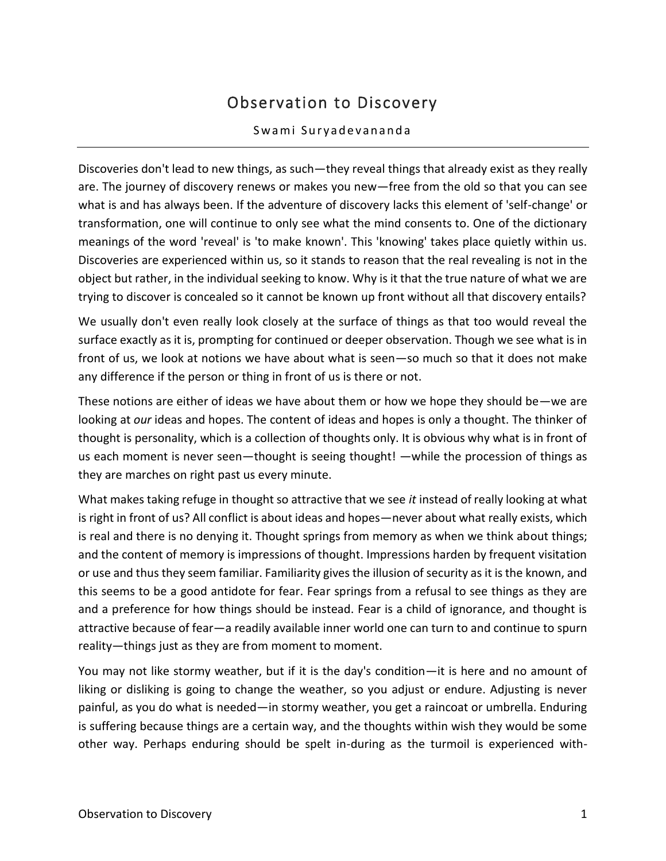## Observation to Discovery

## Swami Suryadevananda

Discoveries don't lead to new things, as such—they reveal things that already exist as they really are. The journey of discovery renews or makes you new—free from the old so that you can see what is and has always been. If the adventure of discovery lacks this element of 'self-change' or transformation, one will continue to only see what the mind consents to. One of the dictionary meanings of the word 'reveal' is 'to make known'. This 'knowing' takes place quietly within us. Discoveries are experienced within us, so it stands to reason that the real revealing is not in the object but rather, in the individual seeking to know. Why is it that the true nature of what we are trying to discover is concealed so it cannot be known up front without all that discovery entails?

We usually don't even really look closely at the surface of things as that too would reveal the surface exactly as it is, prompting for continued or deeper observation. Though we see what is in front of us, we look at notions we have about what is seen—so much so that it does not make any difference if the person or thing in front of us is there or not.

These notions are either of ideas we have about them or how we hope they should be—we are looking at *our* ideas and hopes. The content of ideas and hopes is only a thought. The thinker of thought is personality, which is a collection of thoughts only. It is obvious why what is in front of us each moment is never seen—thought is seeing thought! —while the procession of things as they are marches on right past us every minute.

What makes taking refuge in thought so attractive that we see *it* instead of really looking at what is right in front of us? All conflict is about ideas and hopes—never about what really exists, which is real and there is no denying it. Thought springs from memory as when we think about things; and the content of memory is impressions of thought. Impressions harden by frequent visitation or use and thus they seem familiar. Familiarity gives the illusion of security as it is the known, and this seems to be a good antidote for fear. Fear springs from a refusal to see things as they are and a preference for how things should be instead. Fear is a child of ignorance, and thought is attractive because of fear—a readily available inner world one can turn to and continue to spurn reality—things just as they are from moment to moment.

You may not like stormy weather, but if it is the day's condition—it is here and no amount of liking or disliking is going to change the weather, so you adjust or endure. Adjusting is never painful, as you do what is needed—in stormy weather, you get a raincoat or umbrella. Enduring is suffering because things are a certain way, and the thoughts within wish they would be some other way. Perhaps enduring should be spelt in-during as the turmoil is experienced with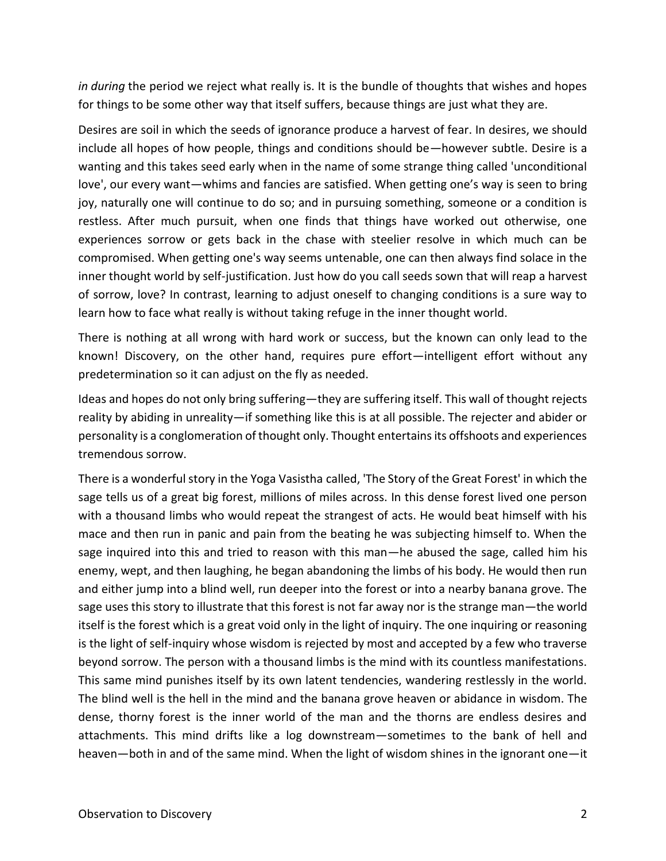*in during* the period we reject what really is. It is the bundle of thoughts that wishes and hopes for things to be some other way that itself suffers, because things are just what they are.

Desires are soil in which the seeds of ignorance produce a harvest of fear. In desires, we should include all hopes of how people, things and conditions should be—however subtle. Desire is a wanting and this takes seed early when in the name of some strange thing called 'unconditional love', our every want—whims and fancies are satisfied. When getting one's way is seen to bring joy, naturally one will continue to do so; and in pursuing something, someone or a condition is restless. After much pursuit, when one finds that things have worked out otherwise, one experiences sorrow or gets back in the chase with steelier resolve in which much can be compromised. When getting one's way seems untenable, one can then always find solace in the inner thought world by self-justification. Just how do you call seeds sown that will reap a harvest of sorrow, love? In contrast, learning to adjust oneself to changing conditions is a sure way to learn how to face what really is without taking refuge in the inner thought world.

There is nothing at all wrong with hard work or success, but the known can only lead to the known! Discovery, on the other hand, requires pure effort—intelligent effort without any predetermination so it can adjust on the fly as needed.

Ideas and hopes do not only bring suffering—they are suffering itself. This wall of thought rejects reality by abiding in unreality—if something like this is at all possible. The rejecter and abider or personality is a conglomeration of thought only. Thought entertains its offshoots and experiences tremendous sorrow.

There is a wonderful story in the Yoga Vasistha called, 'The Story of the Great Forest' in which the sage tells us of a great big forest, millions of miles across. In this dense forest lived one person with a thousand limbs who would repeat the strangest of acts. He would beat himself with his mace and then run in panic and pain from the beating he was subjecting himself to. When the sage inquired into this and tried to reason with this man—he abused the sage, called him his enemy, wept, and then laughing, he began abandoning the limbs of his body. He would then run and either jump into a blind well, run deeper into the forest or into a nearby banana grove. The sage uses this story to illustrate that this forest is not far away nor is the strange man—the world itself is the forest which is a great void only in the light of inquiry. The one inquiring or reasoning is the light of self-inquiry whose wisdom is rejected by most and accepted by a few who traverse beyond sorrow. The person with a thousand limbs is the mind with its countless manifestations. This same mind punishes itself by its own latent tendencies, wandering restlessly in the world. The blind well is the hell in the mind and the banana grove heaven or abidance in wisdom. The dense, thorny forest is the inner world of the man and the thorns are endless desires and attachments. This mind drifts like a log downstream—sometimes to the bank of hell and heaven—both in and of the same mind. When the light of wisdom shines in the ignorant one—it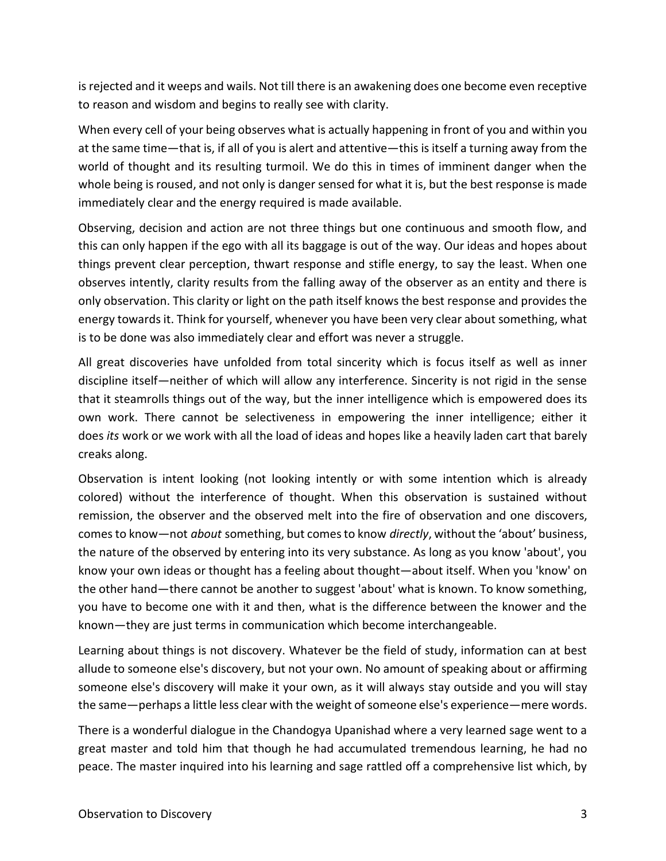is rejected and it weeps and wails. Not till there is an awakening does one become even receptive to reason and wisdom and begins to really see with clarity.

When every cell of your being observes what is actually happening in front of you and within you at the same time—that is, if all of you is alert and attentive—this is itself a turning away from the world of thought and its resulting turmoil. We do this in times of imminent danger when the whole being is roused, and not only is danger sensed for what it is, but the best response is made immediately clear and the energy required is made available.

Observing, decision and action are not three things but one continuous and smooth flow, and this can only happen if the ego with all its baggage is out of the way. Our ideas and hopes about things prevent clear perception, thwart response and stifle energy, to say the least. When one observes intently, clarity results from the falling away of the observer as an entity and there is only observation. This clarity or light on the path itself knows the best response and provides the energy towards it. Think for yourself, whenever you have been very clear about something, what is to be done was also immediately clear and effort was never a struggle.

All great discoveries have unfolded from total sincerity which is focus itself as well as inner discipline itself—neither of which will allow any interference. Sincerity is not rigid in the sense that it steamrolls things out of the way, but the inner intelligence which is empowered does its own work. There cannot be selectiveness in empowering the inner intelligence; either it does *its* work or we work with all the load of ideas and hopes like a heavily laden cart that barely creaks along.

Observation is intent looking (not looking intently or with some intention which is already colored) without the interference of thought. When this observation is sustained without remission, the observer and the observed melt into the fire of observation and one discovers, comes to know—not *about* something, but comes to know *directly*, without the 'about' business, the nature of the observed by entering into its very substance. As long as you know 'about', you know your own ideas or thought has a feeling about thought—about itself. When you 'know' on the other hand—there cannot be another to suggest 'about' what is known. To know something, you have to become one with it and then, what is the difference between the knower and the known—they are just terms in communication which become interchangeable.

Learning about things is not discovery. Whatever be the field of study, information can at best allude to someone else's discovery, but not your own. No amount of speaking about or affirming someone else's discovery will make it your own, as it will always stay outside and you will stay the same—perhaps a little less clear with the weight of someone else's experience—mere words.

There is a wonderful dialogue in the Chandogya Upanishad where a very learned sage went to a great master and told him that though he had accumulated tremendous learning, he had no peace. The master inquired into his learning and sage rattled off a comprehensive list which, by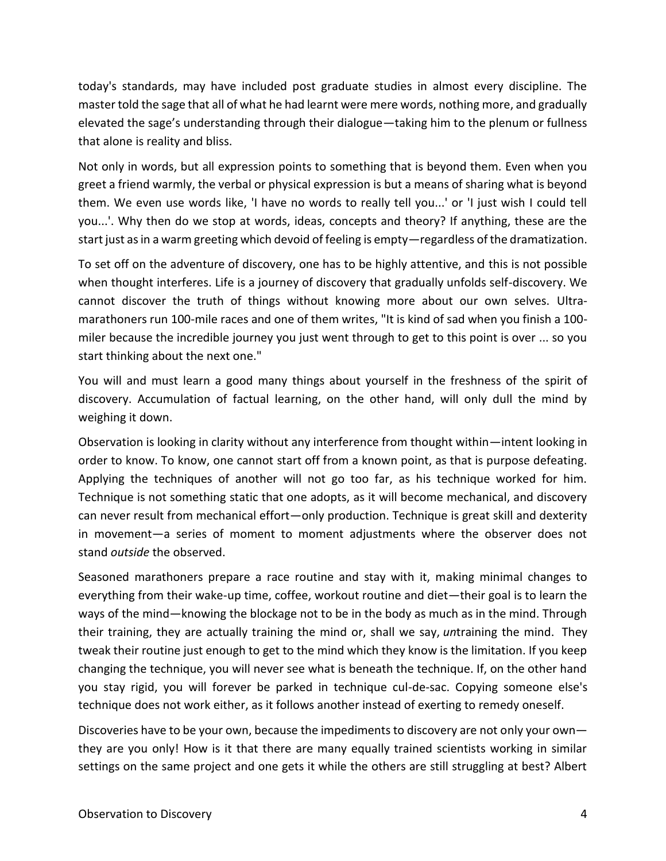today's standards, may have included post graduate studies in almost every discipline. The master told the sage that all of what he had learnt were mere words, nothing more, and gradually elevated the sage's understanding through their dialogue—taking him to the plenum or fullness that alone is reality and bliss.

Not only in words, but all expression points to something that is beyond them. Even when you greet a friend warmly, the verbal or physical expression is but a means of sharing what is beyond them. We even use words like, 'I have no words to really tell you...' or 'I just wish I could tell you...'. Why then do we stop at words, ideas, concepts and theory? If anything, these are the start just as in a warm greeting which devoid of feeling is empty—regardless of the dramatization.

To set off on the adventure of discovery, one has to be highly attentive, and this is not possible when thought interferes. Life is a journey of discovery that gradually unfolds self-discovery. We cannot discover the truth of things without knowing more about our own selves. Ultramarathoners run 100-mile races and one of them writes, "It is kind of sad when you finish a 100 miler because the incredible journey you just went through to get to this point is over ... so you start thinking about the next one."

You will and must learn a good many things about yourself in the freshness of the spirit of discovery. Accumulation of factual learning, on the other hand, will only dull the mind by weighing it down.

Observation is looking in clarity without any interference from thought within—intent looking in order to know. To know, one cannot start off from a known point, as that is purpose defeating. Applying the techniques of another will not go too far, as his technique worked for him. Technique is not something static that one adopts, as it will become mechanical, and discovery can never result from mechanical effort—only production. Technique is great skill and dexterity in movement—a series of moment to moment adjustments where the observer does not stand *outside* the observed.

Seasoned marathoners prepare a race routine and stay with it, making minimal changes to everything from their wake-up time, coffee, workout routine and diet—their goal is to learn the ways of the mind—knowing the blockage not to be in the body as much as in the mind. Through their training, they are actually training the mind or, shall we say, *un*training the mind. They tweak their routine just enough to get to the mind which they know is the limitation. If you keep changing the technique, you will never see what is beneath the technique. If, on the other hand you stay rigid, you will forever be parked in technique cul-de-sac. Copying someone else's technique does not work either, as it follows another instead of exerting to remedy oneself.

Discoveries have to be your own, because the impediments to discovery are not only your own they are you only! How is it that there are many equally trained scientists working in similar settings on the same project and one gets it while the others are still struggling at best? Albert